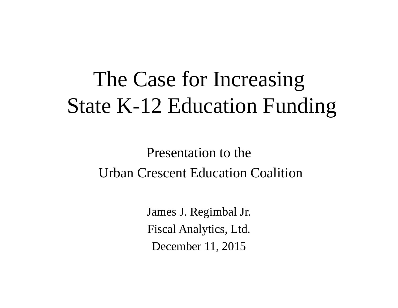# The Case for Increasing State K-12 Education Funding

Presentation to theUrban Crescent Education Coalition

> James J. Regimbal Jr. Fiscal Analytics, Ltd. December 11, 2015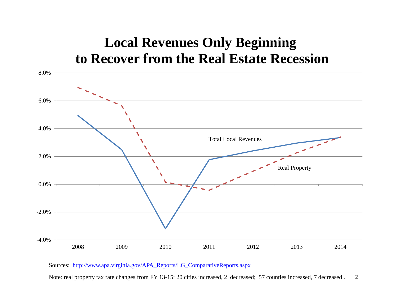### **Local Revenues Only Beginning to Recover from the Real Estate Recession**



Sources: http://www.apa.virginia.gov/APA\_Reports/LG\_ComparativeReports.aspx

Note: real property tax rate changes from FY 13-15: 20 cities increased, 2 decreased; 57 counties increased, 7 decreased . 2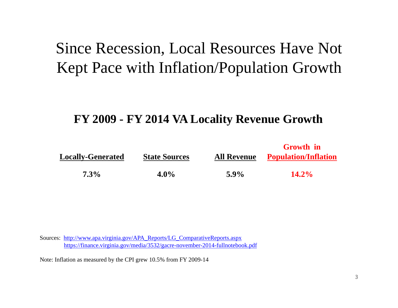## Since Recession, Local Resources Have Not Kept Pace with Inflation/Population Growth

#### **FY 2009 - FY 2014 VA Locality Revenue Growth**

|                          |                      |                    | <b>Growth</b> in            |  |
|--------------------------|----------------------|--------------------|-----------------------------|--|
| <b>Locally-Generated</b> | <b>State Sources</b> | <b>All Revenue</b> | <b>Population/Inflation</b> |  |
| $7.3\%$                  | $4.0\%$              | $5.9\%$            | $14.2\%$                    |  |

Sources: http://www.apa.virginia.gov/APA\_Reports/LG\_ComparativeReports.aspx https://finance.virginia.gov/media/3532/gacre-november-2014-fullnotebook.pdf

Note: Inflation as measured by the CPI grew 10.5% from FY 2009-14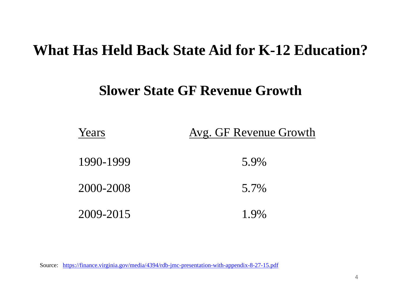### **What Has Held Back State Aid for K-12 Education?**

### **Slower State GF Revenue Growth**

| Years     | Avg. GF Revenue Growth |
|-----------|------------------------|
| 1990-1999 | 5.9%                   |
| 2000-2008 | 5.7%                   |
| 2009-2015 | 1.9%                   |

Source: https://finance.virginia.gov/media/4394/rdb-jmc-presentation-with-appendix-8-27-15.pdf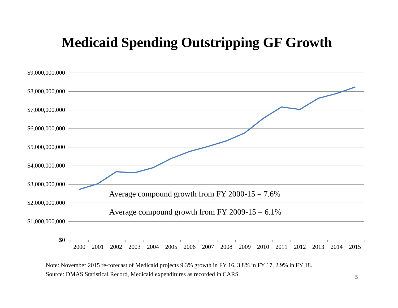### **Medicaid Spending Outstripping GF Growth**



Source: DMAS Statistical Record, Medicaid expenditures as recorded in CARS Note: November 2015 re-forecast of Medicaid projects 9.3% growth in FY 16, 3.8% in FY 17, 2.9% in FY 18.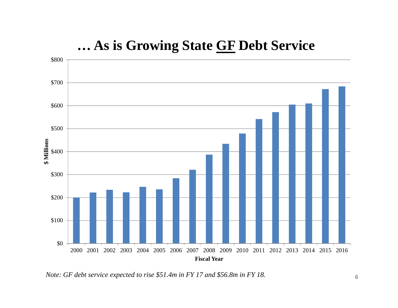

### **… As is Growing State GF Debt Service**

*Note: GF debt service expected to rise \$51.4m in FY 17 and \$56.8m in FY 18.*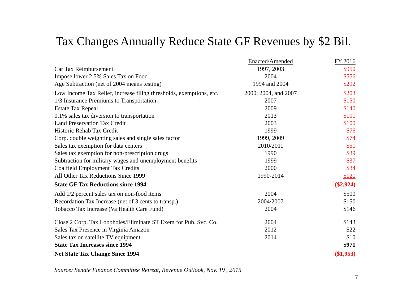### Tax Changes Annually Reduce State GF Revenues by \$2 Bil.

|                                                                     | Enacted/Amended      | FY 2016     |
|---------------------------------------------------------------------|----------------------|-------------|
| Car Tax Reimbursement                                               | 1997, 2003           | \$950       |
| Impose lower 2.5% Sales Tax on Food                                 | 2004                 | \$556       |
| Age Subtraction (net of 2004 means testing)                         | 1994 and 2004        | \$292       |
| Low Income Tax Relief, increase filing thresholds, exemptions, etc. | 2000, 2004, and 2007 | \$203       |
| 1/3 Insurance Premiums to Transportation                            | 2007                 | \$150       |
| <b>Estate Tax Repeal</b>                                            | 2009                 | \$140       |
| 0.1% sales tax diversion to transportation                          | 2013                 | \$101       |
| <b>Land Preservation Tax Credit</b>                                 | 2003                 | \$100       |
| Historic Rehab Tax Credit                                           | 1999                 | \$76        |
| Corp. double weighting sales and single sales factor                | 1999, 2009           | \$74        |
| Sales tax exemption for data centers                                | 2010/2011            | \$51        |
| Sales tax exemption for non-prescription drugs                      | 1990                 | \$39        |
| Subtraction for military wages and unemployment benefits            | 1999                 | \$37        |
| <b>Coalfield Employment Tax Credits</b>                             | 2000                 | \$34        |
| All Other Tax Reductions Since 1999                                 | 1990-2014            | \$121       |
| <b>State GF Tax Reductions since 1994</b>                           |                      | $(\$2,924)$ |
| Add 1/2 percent sales tax on non-food items                         | 2004                 | \$500       |
| Recordation Tax Increase (net of 3 cents to transp.)                | 2004/2007            | \$150       |
| Tobacco Tax Increase (Va Health Care Fund)                          | 2004                 | \$146       |
| Close 2 Corp. Tax Loopholes/Eliminate ST Exem for Pub. Svc. Co.     | 2004                 | \$143       |
| Sales Tax Presence in Virginia Amazon                               | 2012                 | \$22        |
| Sales tax on satellite TV equipment                                 | 2014                 | \$10        |
| <b>State Tax Increases since 1994</b>                               |                      | \$971       |
| <b>Net State Tax Change Since 1994</b>                              |                      | $(\$1,953)$ |

*Source: Senate Finance Committee Retreat, Revenue Outlook, Nov. 19 , 2015*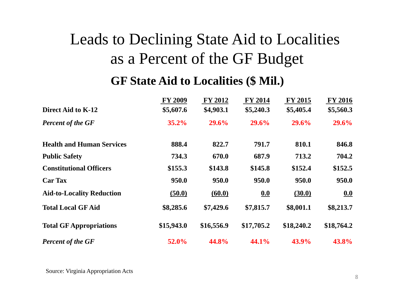## Leads to Declining State Aid to Localities as a Percent of the GF Budget

### **GF State Aid to Localities (\$ Mil.)**

|                                  | <b>FY 2009</b> | <b>FY 2012</b> | <b>FY 2014</b> | <b>FY 2015</b> | <b>FY 2016</b> |
|----------------------------------|----------------|----------------|----------------|----------------|----------------|
| Direct Aid to K-12               | \$5,607.6      | \$4,903.1      | \$5,240.3      | \$5,405.4      | \$5,560.3      |
| <b>Percent of the GF</b>         | 35.2%          | 29.6%          | 29.6%          | 29.6%          | 29.6%          |
| <b>Health and Human Services</b> | 888.4          | 822.7          | 791.7          | 810.1          | 846.8          |
| <b>Public Safety</b>             | 734.3          | 670.0          | 687.9          | 713.2          | 704.2          |
| <b>Constitutional Officers</b>   | \$155.3        | \$143.8        | \$145.8        | \$152.4        | \$152.5        |
| <b>Car Tax</b>                   | 950.0          | 950.0          | 950.0          | 950.0          | 950.0          |
| <b>Aid-to-Locality Reduction</b> | (50.0)         | (60.0)         | 0.0            | (30.0)         | 0.0            |
| <b>Total Local GF Aid</b>        | \$8,285.6      | \$7,429.6      | \$7,815.7      | \$8,001.1      | \$8,213.7      |
| <b>Total GF Appropriations</b>   | \$15,943.0     | \$16,556.9     | \$17,705.2     | \$18,240.2     | \$18,764.2     |
| <b>Percent of the GF</b>         | 52.0%          | 44.8%          | 44.1%          | 43.9%          | 43.8%          |

Source: Virginia Appropriation Acts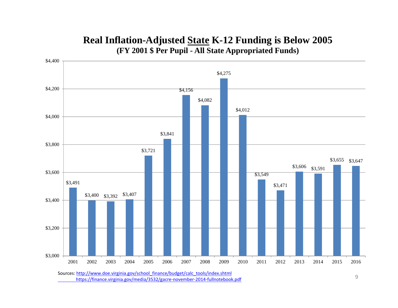#### **Real Inflation-Adjusted State K-12 Funding is Below 2005 (FY 2001 \$ Per Pupil - All State Appropriated Funds)**



https://finance.virginia.gov/media/3532/gacre‐november‐2014‐fullnotebook.pdf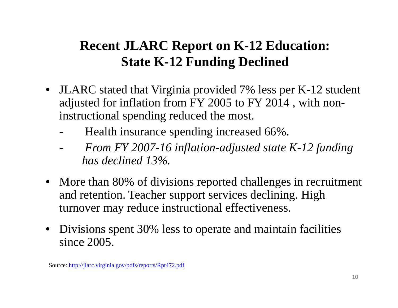## **Recent JLARC Report on K-12 Education: State K-12 Funding Declined**

- JLARC stated that Virginia provided 7% less per K-12 student adjusted for inflation from FY 2005 to FY 2014 , with noninstructional spending reduced the most.
	- -Health insurance spending increased 66%.
	- - *From FY 2007-16 inflation-adjusted state K-12 funding has declined 13%.*
- More than 80% of divisions reported challenges in recruitment and retention. Teacher support services declining. High turnover may reduce instructional effectiveness.
- Divisions spent 30% less to operate and maintain facilities since 2005.

Source: http://jlarc.virginia.gov/pdfs/reports/Rpt472.pdf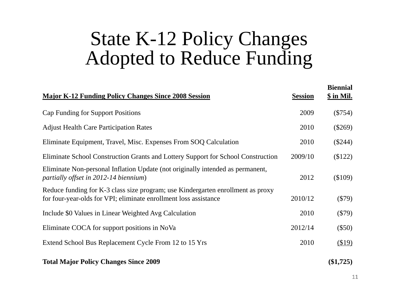# State K-12 Policy Changes Adopted to Reduce Funding

| <b>Major K-12 Funding Policy Changes Since 2008 Session</b>                                                                                         | <b>Session</b> | <b>Biennial</b><br>\$ in Mil. |
|-----------------------------------------------------------------------------------------------------------------------------------------------------|----------------|-------------------------------|
| <b>Cap Funding for Support Positions</b>                                                                                                            | 2009           | $(\$754)$                     |
| <b>Adjust Health Care Participation Rates</b>                                                                                                       | 2010           | $(\$269)$                     |
| Eliminate Equipment, Travel, Misc. Expenses From SOQ Calculation                                                                                    | 2010           | $(\$244)$                     |
| Eliminate School Construction Grants and Lottery Support for School Construction                                                                    | 2009/10        | \$122)                        |
| Eliminate Non-personal Inflation Update (not originally intended as permanent,<br>partially offset in 2012-14 biennium)                             | 2012           | \$109)                        |
| Reduce funding for K-3 class size program; use Kindergarten enrollment as proxy<br>for four-year-olds for VPI; eliminate enrollment loss assistance | 2010/12        | $(\$79)$                      |
| Include \$0 Values in Linear Weighted Avg Calculation                                                                                               | 2010           | $(\$79)$                      |
| Eliminate COCA for support positions in NoVa                                                                                                        | 2012/14        | $(\$50)$                      |
| Extend School Bus Replacement Cycle From 12 to 15 Yrs                                                                                               | 2010           | \$19)                         |
| <b>Total Major Policy Changes Since 2009</b>                                                                                                        |                | $(\$1,725)$                   |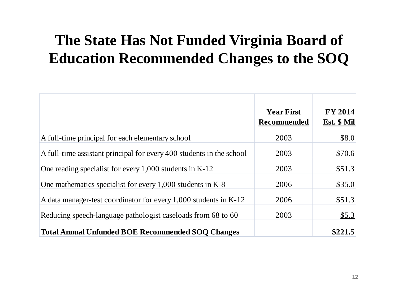## **The State Has Not Funded Virginia Board of Education Recommended Changes to the SOQ**

|                                                                      | <b>Year First</b><br><b>Recommended</b> | <b>FY 2014</b><br>Est. \$ Mil |
|----------------------------------------------------------------------|-----------------------------------------|-------------------------------|
| A full-time principal for each elementary school                     | 2003                                    | \$8.0                         |
| A full-time assistant principal for every 400 students in the school | 2003                                    | \$70.6                        |
| One reading specialist for every $1,000$ students in K-12            | 2003                                    | \$51.3                        |
| One mathematics specialist for every 1,000 students in K-8           | 2006                                    | \$35.0                        |
| A data manager-test coordinator for every 1,000 students in K-12     | 2006                                    | \$51.3                        |
| Reducing speech-language pathologist caseloads from 68 to 60         | 2003                                    | \$5.3                         |
| <b>Total Annual Unfunded BOE Recommended SOQ Changes</b>             |                                         | \$221.5                       |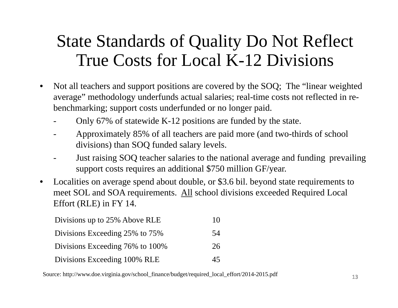## State Standards of Quality Do Not Reflect True Costs for Local K-12 Divisions

- $\bullet$  Not all teachers and support positions are covered by the SOQ; The "linear weighted average" methodology underfunds actual salaries; real-time costs not reflected in rebenchmarking; support costs underfunded or no longer paid.
	- Only 67% of statewide K-12 positions are funded by the state.
	- Approximately 85% of all teachers are paid more (and two-thirds of school divisions) than SOQ funded salary levels.
	- Just raising SOQ teacher salaries to the national average and funding prevailing support costs requires an additional \$750 million GF/year.
- $\bullet$  Localities on average spend about double, or \$3.6 bil. beyond state requirements to meet SOL and SOA requirements. All school divisions exceeded Required Local Effort (RLE) in FY 14.

| Divisions up to 25% Above RLE   | 10 |
|---------------------------------|----|
| Divisions Exceeding 25% to 75%  | 54 |
| Divisions Exceeding 76% to 100% | 26 |
| Divisions Exceeding 100% RLE    | 45 |

Source: http://www.doe.virginia.gov/school\_finance/budget/required\_local\_effort/2014-2015.pdf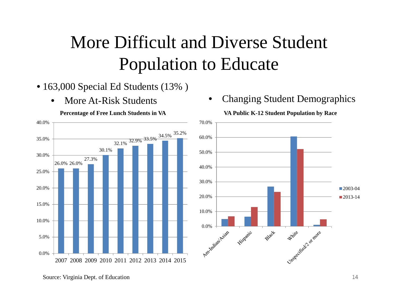# More Difficult and Diverse Student Population to Educate

- 163,000 Special Ed Students (13% )
	- •More At-Risk Students



**Percentage of Free Lunch Students in VA**

•Changing Student Demographics

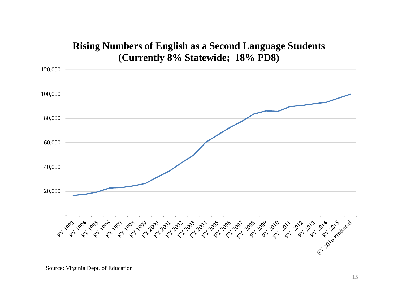#### **Rising Numbers of English as a Second Language Students (Currently 8% Statewide; 18% PD8)**

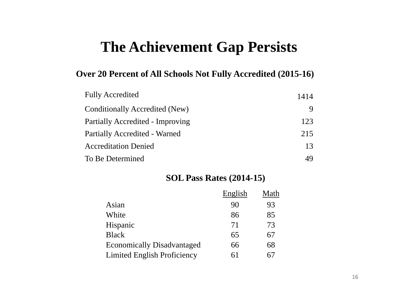## **The Achievement Gap Persists**

#### **Over 20 Percent of All Schools Not Fully Accredited (2015-16)**

| <b>Fully Accredited</b>          | 1414 |
|----------------------------------|------|
| Conditionally Accredited (New)   |      |
| Partially Accredited - Improving | 123  |
| Partially Accredited - Warned    | 215  |
| <b>Accreditation Denied</b>      | 13   |
| To Be Determined                 |      |

#### **SOL Pass Rates (2014-15)**

|                                   | English | Math |
|-----------------------------------|---------|------|
| Asian                             | 90      | 93   |
| White                             | 86      | 85   |
| Hispanic                          | 71      | 73   |
| <b>Black</b>                      | 65      | 67   |
| <b>Economically Disadvantaged</b> | 66      | 68   |
| Limited English Proficiency       | 61      |      |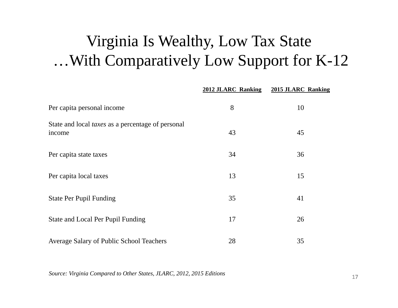## Virginia Is Wealthy, Low Tax State …With Comparatively Low Support for K-12

|                                                                    | 2012 JLARC Ranking | 2015 JLARC Ranking |
|--------------------------------------------------------------------|--------------------|--------------------|
| Per capita personal income                                         | 8                  | 10                 |
| State and local <i>taxes</i> as a percentage of personal<br>income | 43                 | 45                 |
| Per capita state taxes                                             | 34                 | 36                 |
| Per capita local taxes                                             | 13                 | 15                 |
| <b>State Per Pupil Funding</b>                                     | 35                 | 41                 |
| State and Local Per Pupil Funding                                  | 17                 | 26                 |
| Average Salary of Public School Teachers                           | 28                 | 35                 |

*Source: Virginia Compared to Other States, JLARC, 2012, 2015 Editions*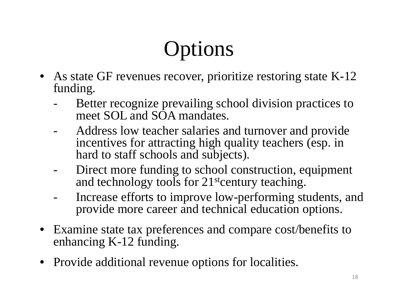# **Options**

- As state GF revenues recover, prioritize restoring state K-12 funding.
	- Better recognize prevailing school division practices to meet SOL and SOA mandates.
	- Address low teacher salaries and turnover and provide incentives for attracting high quality teachers (esp. in hard to staff schools and subjects).
	- - Direct more funding to school construction, equipment and technology tools for 21<sup>st</sup>century teaching.
	- Increase efforts to improve low-performing students, and provide more career and technical education options.
- Examine state tax preferences and compare cost/benefits to enhancing K-12 funding.
- Provide additional revenue options for localities.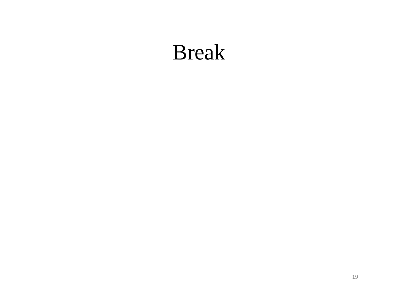# Break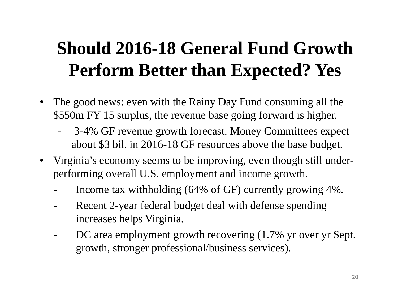# **Should 2016-18 General Fund Growth Perform Better than Expected? Yes**

- $\bullet$  The good news: even with the Rainy Day Fund consuming all the \$550m FY 15 surplus, the revenue base going forward is higher.
	- 3-4% GF revenue growth forecast. Money Committees expect about \$3 bil. in 2016-18 GF resources above the base budget.
- Virginia's economy seems to be improving, even though still underperforming overall U.S. employment and income growth.
	- Income tax withholding (64% of GF) currently growing 4%.
	- **-** Recent 2-year federal budget deal with defense spending increases helps Virginia.
	- - DC area employment growth recovering (1.7% yr over yr Sept. growth, stronger professional/business services).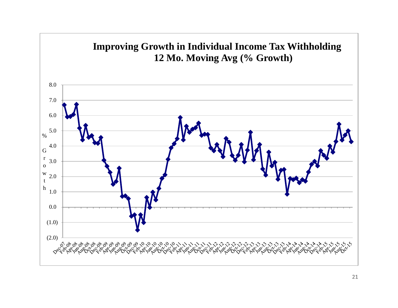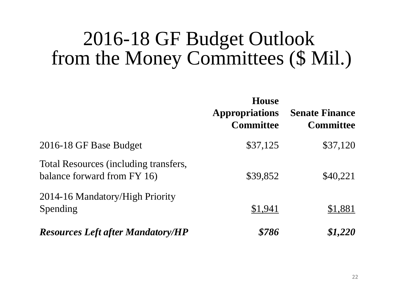## 2016-18 GF Budget Outlook from the Money Committees (\$ Mil.)

|                                                                      | <b>House</b><br><b>Appropriations</b><br><b>Committee</b> | <b>Senate Finance</b><br><b>Committee</b> |
|----------------------------------------------------------------------|-----------------------------------------------------------|-------------------------------------------|
| 2016-18 GF Base Budget                                               | \$37,125                                                  | \$37,120                                  |
| Total Resources (including transfers,<br>balance forward from FY 16) | \$39,852                                                  | \$40,221                                  |
| 2014-16 Mandatory/High Priority<br>Spending                          | \$1,941                                                   | \$1,881                                   |
| <b>Resources Left after Mandatory/HP</b>                             | \$786                                                     | \$1,220                                   |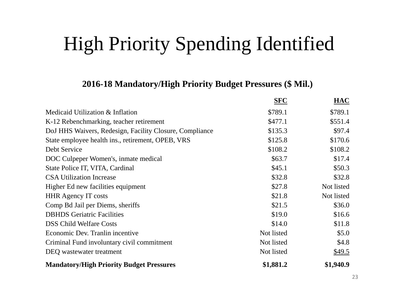# High Priority Spending Identified

#### **2016-18 Mandatory/High Priority Budget Pressures (\$ Mil.)**

|                                                         | SFC        | HAC        |
|---------------------------------------------------------|------------|------------|
| Medicaid Utilization & Inflation                        | \$789.1    | \$789.1    |
| K-12 Rebenchmarking, teacher retirement                 | \$477.1    | \$551.4    |
| DoJ HHS Waivers, Redesign, Facility Closure, Compliance | \$135.3    | \$97.4     |
| State employee health ins., retirement, OPEB, VRS       | \$125.8    | \$170.6    |
| Debt Service                                            | \$108.2    | \$108.2    |
| DOC Culpeper Women's, inmate medical                    | \$63.7     | \$17.4     |
| State Police IT, VITA, Cardinal                         | \$45.1     | \$50.3     |
| <b>CSA Utilization Increase</b>                         | \$32.8     | \$32.8     |
| Higher Ed new facilities equipment                      | \$27.8     | Not listed |
| <b>HHR Agency IT costs</b>                              | \$21.8     | Not listed |
| Comp Bd Jail per Diems, sheriffs                        | \$21.5     | \$36.0     |
| <b>DBHDS</b> Geriatric Facilities                       | \$19.0     | \$16.6     |
| <b>DSS Child Welfare Costs</b>                          | \$14.0     | \$11.8     |
| Economic Dev. Tranlin incentive                         | Not listed | \$5.0      |
| Criminal Fund involuntary civil commitment              | Not listed | \$4.8      |
| DEQ wastewater treatment                                | Not listed | \$49.5     |
| <b>Mandatory/High Priority Budget Pressures</b>         | \$1,881.2  | \$1,940.9  |